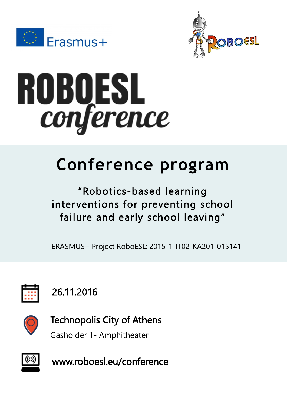





# **Conference program**

## "Robotics-based learning interventions for preventing school failure and early school leaving"

ERASMUS+ Project RoboESL: 2015-1-IT02-KA201-015141



# 26.11.2016



Technopolis City of Athens

Gasholder 1- Amphitheater



www.roboesl.eu/conference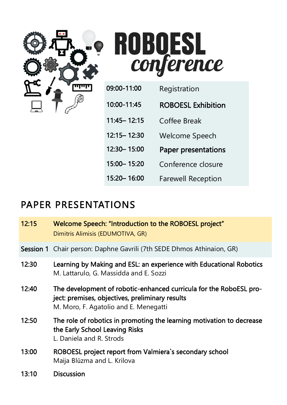



| 09:00-11:00   | Registration               |
|---------------|----------------------------|
| 10:00-11:45   | <b>ROBOESL Exhibition</b>  |
| 11:45 - 12:15 | Coffee Break               |
| 12:15 - 12:30 | Welcome Speech             |
| 12:30 - 15:00 | <b>Paper presentations</b> |
| 15:00 - 15:20 | Conference closure         |
| 15:20 - 16:00 | <b>Farewell Reception</b>  |

#### PAPER PRESENTATIONS

| 12:15 | Welcome Speech: "Introduction to the ROBOESL project"<br>Dimitris Alimisis (EDUMOTIVA, GR)                                                                     |
|-------|----------------------------------------------------------------------------------------------------------------------------------------------------------------|
|       | Session 1 Chair person: Daphne Gavrili (7th SEDE Dhmos Athinaion, GR)                                                                                          |
| 12:30 | Learning by Making and ESL: an experience with Educational Robotics<br>M. Lattarulo, G. Massidda and E. Sozzi                                                  |
| 12:40 | The development of robotic-enhanced curricula for the RoboESL pro-<br>ject: premises, objectives, preliminary results<br>M. Moro, F. Agatolio and E. Menegatti |
| 12:50 | The role of robotics in promoting the learning motivation to decrease<br>the Early School Leaving Risks<br>L. Daniela and R. Strods                            |
| 13:00 | ROBOESL project report from Valmiera's secondary school<br>Maija Blūzma and L. Krilova                                                                         |
| 13:10 | Discussion                                                                                                                                                     |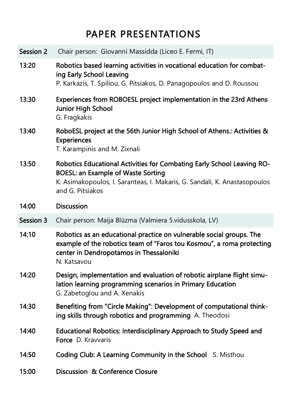### PAPER PRESENTATIONS

| Session 2 | Chair person: Giovanni Massidda (Liceo E. Fermi, IT)                                                                                                                                                                 |
|-----------|----------------------------------------------------------------------------------------------------------------------------------------------------------------------------------------------------------------------|
| 13:20     | Robotics based learning activities in vocational education for combat-<br>ing Early School Leaving<br>P. Karkazis, T. Spiliou, G. Pitsiakos, D. Panagopoulos and D. Roussou                                          |
| 13:30     | Experiences from ROBOESL project implementation in the 23rd Athens<br>Junior High School<br>G. Fragkakis                                                                                                             |
| 13:40     | RoboESL project at the 56th Junior High School of Athens.: Activities &<br>Experiences<br>T. Karampinis and M. Zixnali                                                                                               |
| 13:50     | Robotics Educational Activities for Combating Early School Leaving RO-<br><b>BOESL: an Example of Waste Sorting</b><br>K. Asimakopoulos, I. Saranteas, I. Makaris, G. Sandali, K. Anastasopoulos<br>and G. Pitsiakos |
| 14:00     | <b>Discussion</b>                                                                                                                                                                                                    |
| Session 3 | Chair person: Maija Blūzma (Valmiera 5.vidusskola, LV)                                                                                                                                                               |
| 14:10     | Robotics as an educational practice on vulnerable social groups. The<br>example of the robotics team of "Faros tou Kosmou", a roma protecting<br>center in Dendropotamos in Thessaloniki<br>N. Katsavou              |
| 14:20     | Design, implementation and evaluation of robotic airplane flight simu-<br>lation learning programming scenarios in Primary Education<br>G. Zabetoglou and A. Xenakis                                                 |
| 14:30     | Benefiting from "Circle Making": Development of computational think-<br>ing skills through robotics and programming A. Theodosi                                                                                      |
|           |                                                                                                                                                                                                                      |
| 14:40     | Educational Robotics: Interdisciplinary Approach to Study Speed and<br>Force D. Kravvaris                                                                                                                            |
| 14:50     | Coding Club: A Learning Community in the School S. Misthou                                                                                                                                                           |